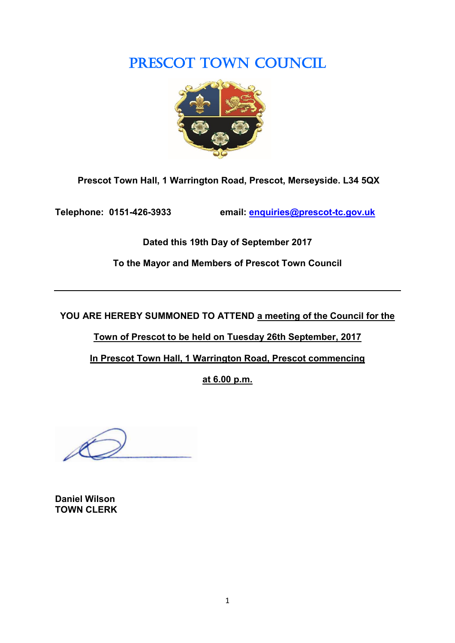# PRESCOT TOWN COUNCIL



**Prescot Town Hall, 1 Warrington Road, Prescot, Merseyside. L34 5QX**

**Telephone: 0151-426-3933 email: [enquiries@prescot-tc.gov.uk](mailto:enquiries@prescot-tc.gov.uk)**

**Dated this 19th Day of September 2017**

**To the Mayor and Members of Prescot Town Council**

**YOU ARE HEREBY SUMMONED TO ATTEND a meeting of the Council for the** 

**Town of Prescot to be held on Tuesday 26th September, 2017**

**In Prescot Town Hall, 1 Warrington Road, Prescot commencing**

**at 6.00 p.m.**

**Daniel Wilson TOWN CLERK**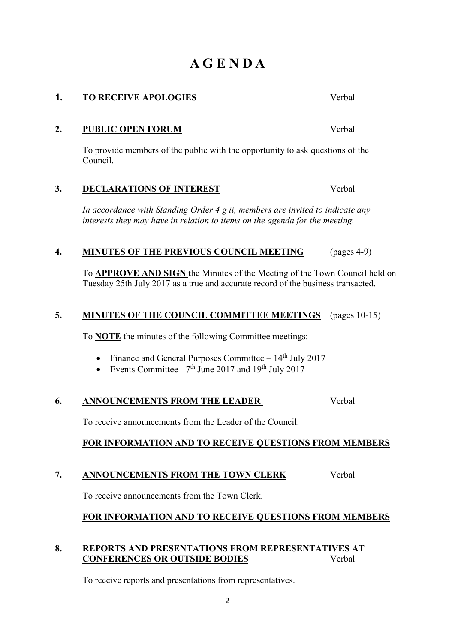# **A G E N D A**

To provide members of the public with the opportunity to ask questions of the Council.

**2. PUBLIC OPEN FORUM** Verbal

# **3. DECLARATIONS OF INTEREST** Verbal

*In accordance with Standing Order 4 g ii, members are invited to indicate any interests they may have in relation to items on the agenda for the meeting.*

# **4. MINUTES OF THE PREVIOUS COUNCIL MEETING** (pages 4-9)

To **APPROVE AND SIGN** the Minutes of the Meeting of the Town Council held on Tuesday 25th July 2017 as a true and accurate record of the business transacted.

# **5. MINUTES OF THE COUNCIL COMMITTEE MEETINGS** (pages 10-15)

To **NOTE** the minutes of the following Committee meetings:

- Finance and General Purposes Committee  $-14<sup>th</sup>$  July 2017
- Events Committee  $7<sup>th</sup>$  June 2017 and 19<sup>th</sup> July 2017

# **6. ANNOUNCEMENTS FROM THE LEADER** Verbal

To receive announcements from the Leader of the Council.

# **FOR INFORMATION AND TO RECEIVE QUESTIONS FROM MEMBERS**

# **7. ANNOUNCEMENTS FROM THE TOWN CLERK** Verbal

To receive announcements from the Town Clerk.

### **FOR INFORMATION AND TO RECEIVE QUESTIONS FROM MEMBERS**

#### **8. REPORTS AND PRESENTATIONS FROM REPRESENTATIVES AT CONFERENCES OR OUTSIDE BODIES** Verbal

To receive reports and presentations from representatives.

**1. TO RECEIVE APOLOGIES** Verbal